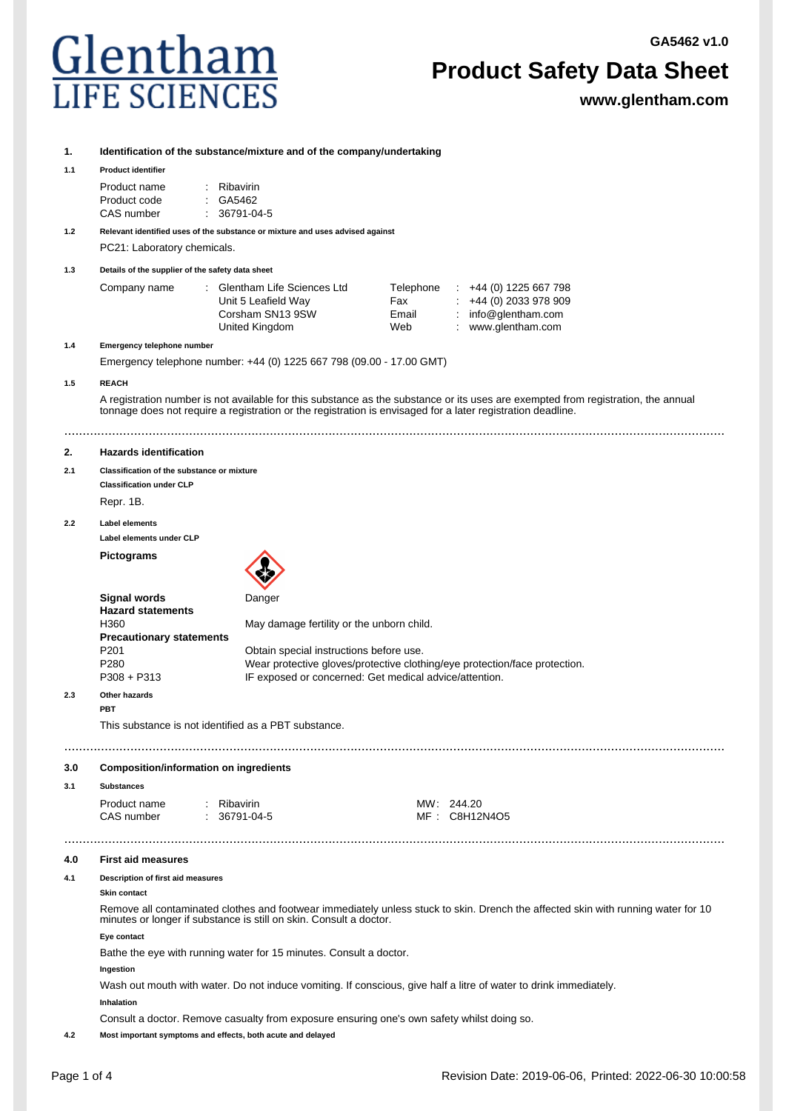## . T П  $\frac{C}{L}$

## **Product Safety Data Sheet**

|           | ulentham<br><b>LIFE SCIENCES</b>                                                                                                                                                                                                                 |                                                                                                   |                                  | <b>Product Safety Data Sheet</b><br>www.glentham.com                                                      |  |  |  |
|-----------|--------------------------------------------------------------------------------------------------------------------------------------------------------------------------------------------------------------------------------------------------|---------------------------------------------------------------------------------------------------|----------------------------------|-----------------------------------------------------------------------------------------------------------|--|--|--|
| 1.<br>1.1 | <b>Product identifier</b>                                                                                                                                                                                                                        | Identification of the substance/mixture and of the company/undertaking                            |                                  |                                                                                                           |  |  |  |
|           | Product name<br>: GA5462<br>Product code<br>CAS number                                                                                                                                                                                           | : Ribavirin<br>36791-04-5                                                                         |                                  |                                                                                                           |  |  |  |
| 1.2       | Relevant identified uses of the substance or mixture and uses advised against<br>PC21: Laboratory chemicals.                                                                                                                                     |                                                                                                   |                                  |                                                                                                           |  |  |  |
| 1.3       | Details of the supplier of the safety data sheet                                                                                                                                                                                                 |                                                                                                   |                                  |                                                                                                           |  |  |  |
|           | Company name                                                                                                                                                                                                                                     | : Glentham Life Sciences Ltd<br>Unit 5 Leafield Way<br>Corsham SN13 9SW<br>United Kingdom         | Telephone<br>Fax<br>Email<br>Web | $\div$ +44 (0) 1225 667 798<br>$\div$ +44 (0) 2033 978 909<br>: $info@glentham.com$<br>: www.glentham.com |  |  |  |
| 1.4       | Emergency telephone number<br>Emergency telephone number: +44 (0) 1225 667 798 (09.00 - 17.00 GMT)                                                                                                                                               |                                                                                                   |                                  |                                                                                                           |  |  |  |
| 1.5       | <b>REACH</b>                                                                                                                                                                                                                                     |                                                                                                   |                                  |                                                                                                           |  |  |  |
|           | A registration number is not available for this substance as the substance or its uses are exempted from registration, the annual<br>tonnage does not require a registration or the registration is envisaged for a later registration deadline. |                                                                                                   |                                  |                                                                                                           |  |  |  |
|           |                                                                                                                                                                                                                                                  |                                                                                                   |                                  |                                                                                                           |  |  |  |
| 2.        | <b>Hazards identification</b>                                                                                                                                                                                                                    |                                                                                                   |                                  |                                                                                                           |  |  |  |
| 2.1       | Classification of the substance or mixture<br><b>Classification under CLP</b><br>Repr. 1B.                                                                                                                                                       |                                                                                                   |                                  |                                                                                                           |  |  |  |
| 2.2       | <b>Label elements</b>                                                                                                                                                                                                                            |                                                                                                   |                                  |                                                                                                           |  |  |  |
|           | Label elements under CLP                                                                                                                                                                                                                         |                                                                                                   |                                  |                                                                                                           |  |  |  |
|           | <b>Pictograms</b>                                                                                                                                                                                                                                |                                                                                                   |                                  |                                                                                                           |  |  |  |
|           | <b>Signal words</b><br><b>Hazard statements</b><br>H360                                                                                                                                                                                          | Danger<br>May damage fertility or the unborn child.                                               |                                  |                                                                                                           |  |  |  |
|           | <b>Precautionary statements</b><br>P <sub>201</sub><br>P280<br>$P308 + P313$                                                                                                                                                                     | Obtain special instructions before use.<br>IF exposed or concerned: Get medical advice/attention. |                                  | Wear protective gloves/protective clothing/eye protection/face protection.                                |  |  |  |
| 2.3       | Other hazards<br><b>PBT</b>                                                                                                                                                                                                                      |                                                                                                   |                                  |                                                                                                           |  |  |  |
|           | This substance is not identified as a PBT substance.                                                                                                                                                                                             |                                                                                                   |                                  |                                                                                                           |  |  |  |
| 3.0       | <b>Composition/information on ingredients</b>                                                                                                                                                                                                    |                                                                                                   |                                  |                                                                                                           |  |  |  |
| 3.1       | <b>Substances</b>                                                                                                                                                                                                                                |                                                                                                   |                                  |                                                                                                           |  |  |  |
|           | Product name<br>: Ribavirin<br>CAS number                                                                                                                                                                                                        | $: 36791-04-5$                                                                                    |                                  | MW: 244.20<br>MF: C8H12N4O5                                                                               |  |  |  |
| 4.0       | <b>First aid measures</b>                                                                                                                                                                                                                        |                                                                                                   |                                  |                                                                                                           |  |  |  |
| 4.1       | Description of first aid measures                                                                                                                                                                                                                |                                                                                                   |                                  |                                                                                                           |  |  |  |
|           | <b>Skin contact</b><br>Remove all contaminated clothes and footwear immediately unless stuck to skin. Drench the affected skin with running water for 10<br>minutes or longer if substance is still on skin. Consult a doctor.                   |                                                                                                   |                                  |                                                                                                           |  |  |  |
|           | Eye contact                                                                                                                                                                                                                                      |                                                                                                   |                                  |                                                                                                           |  |  |  |
|           | Bathe the eye with running water for 15 minutes. Consult a doctor.<br>Ingestion                                                                                                                                                                  |                                                                                                   |                                  |                                                                                                           |  |  |  |
|           | Wash out mouth with water. Do not induce vomiting. If conscious, give half a litre of water to drink immediately.<br>Inhalation                                                                                                                  |                                                                                                   |                                  |                                                                                                           |  |  |  |
|           | Consult a doctor. Remove casualty from exposure ensuring one's own safety whilst doing so.                                                                                                                                                       |                                                                                                   |                                  |                                                                                                           |  |  |  |

**4.2 Most important symptoms and effects, both acute and delayed**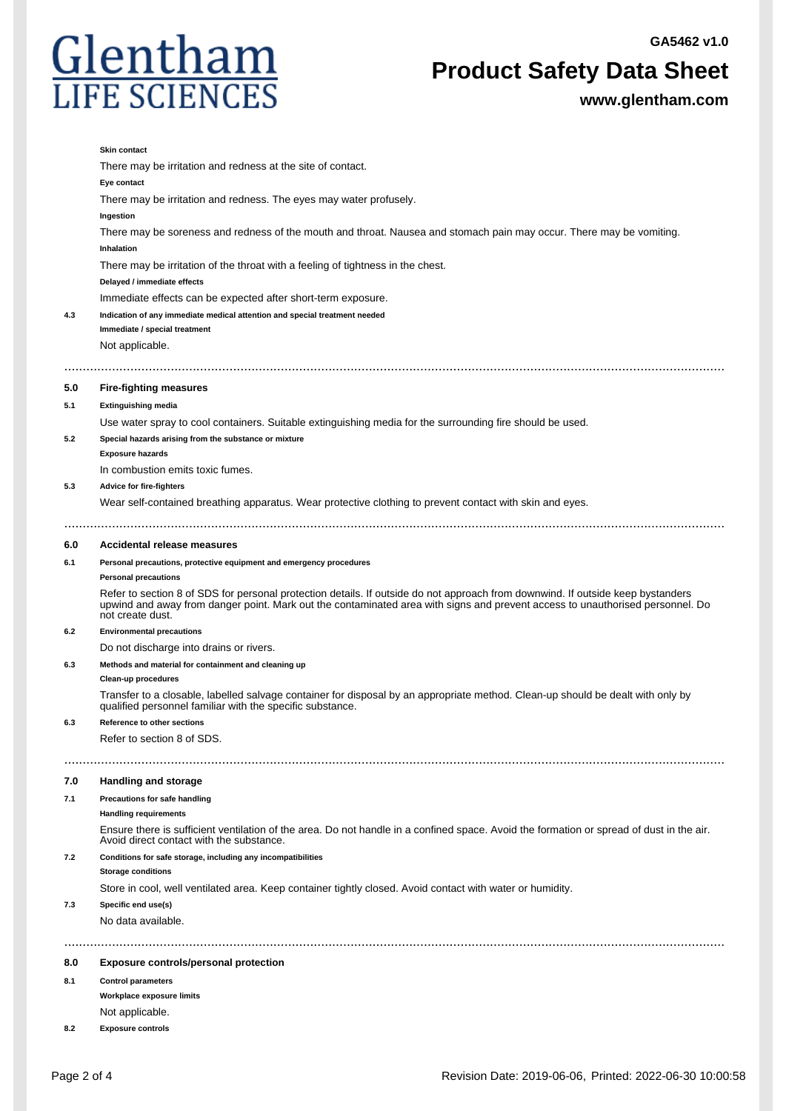

**Product Safety Data Sheet**

**www.glentham.com**

|     | <b>Skin contact</b>                                                                                                                                                                                                                                                                  |  |  |
|-----|--------------------------------------------------------------------------------------------------------------------------------------------------------------------------------------------------------------------------------------------------------------------------------------|--|--|
|     | There may be irritation and redness at the site of contact.                                                                                                                                                                                                                          |  |  |
|     | Eye contact                                                                                                                                                                                                                                                                          |  |  |
|     | There may be irritation and redness. The eyes may water profusely.                                                                                                                                                                                                                   |  |  |
|     | Ingestion                                                                                                                                                                                                                                                                            |  |  |
|     | There may be soreness and redness of the mouth and throat. Nausea and stomach pain may occur. There may be vomiting.                                                                                                                                                                 |  |  |
|     | <b>Inhalation</b>                                                                                                                                                                                                                                                                    |  |  |
|     | There may be irritation of the throat with a feeling of tightness in the chest.                                                                                                                                                                                                      |  |  |
|     | Delayed / immediate effects                                                                                                                                                                                                                                                          |  |  |
|     | Immediate effects can be expected after short-term exposure.                                                                                                                                                                                                                         |  |  |
| 4.3 | Indication of any immediate medical attention and special treatment needed<br>Immediate / special treatment                                                                                                                                                                          |  |  |
|     | Not applicable.                                                                                                                                                                                                                                                                      |  |  |
|     |                                                                                                                                                                                                                                                                                      |  |  |
| 5.0 | <b>Fire-fighting measures</b>                                                                                                                                                                                                                                                        |  |  |
| 5.1 | <b>Extinguishing media</b>                                                                                                                                                                                                                                                           |  |  |
|     | Use water spray to cool containers. Suitable extinguishing media for the surrounding fire should be used.                                                                                                                                                                            |  |  |
| 5.2 | Special hazards arising from the substance or mixture                                                                                                                                                                                                                                |  |  |
|     | <b>Exposure hazards</b>                                                                                                                                                                                                                                                              |  |  |
|     | In combustion emits toxic fumes.                                                                                                                                                                                                                                                     |  |  |
| 5.3 | <b>Advice for fire-fighters</b>                                                                                                                                                                                                                                                      |  |  |
|     | Wear self-contained breathing apparatus. Wear protective clothing to prevent contact with skin and eyes.                                                                                                                                                                             |  |  |
| 6.0 | Accidental release measures                                                                                                                                                                                                                                                          |  |  |
| 6.1 | Personal precautions, protective equipment and emergency procedures                                                                                                                                                                                                                  |  |  |
|     | <b>Personal precautions</b>                                                                                                                                                                                                                                                          |  |  |
|     | Refer to section 8 of SDS for personal protection details. If outside do not approach from downwind. If outside keep bystanders<br>upwind and away from danger point. Mark out the contaminated area with signs and prevent access to unauthorised personnel. Do<br>not create dust. |  |  |
| 6.2 | <b>Environmental precautions</b>                                                                                                                                                                                                                                                     |  |  |
|     | Do not discharge into drains or rivers.                                                                                                                                                                                                                                              |  |  |
| 6.3 | Methods and material for containment and cleaning up                                                                                                                                                                                                                                 |  |  |
|     | Clean-up procedures                                                                                                                                                                                                                                                                  |  |  |
|     | Transfer to a closable, labelled salvage container for disposal by an appropriate method. Clean-up should be dealt with only by<br>qualified personnel familiar with the specific substance.                                                                                         |  |  |
| 6.3 | Reference to other sections                                                                                                                                                                                                                                                          |  |  |
|     | Refer to section 8 of SDS.                                                                                                                                                                                                                                                           |  |  |
| 7.0 | Handling and storage                                                                                                                                                                                                                                                                 |  |  |
| 7.1 | Precautions for safe handling                                                                                                                                                                                                                                                        |  |  |
|     | <b>Handling requirements</b>                                                                                                                                                                                                                                                         |  |  |
|     | Ensure there is sufficient ventilation of the area. Do not handle in a confined space. Avoid the formation or spread of dust in the air.<br>Avoid direct contact with the substance.                                                                                                 |  |  |
| 7.2 | Conditions for safe storage, including any incompatibilities<br><b>Storage conditions</b>                                                                                                                                                                                            |  |  |
|     | Store in cool, well ventilated area. Keep container tightly closed. Avoid contact with water or humidity.                                                                                                                                                                            |  |  |
| 7.3 | Specific end use(s)                                                                                                                                                                                                                                                                  |  |  |
|     | No data available.                                                                                                                                                                                                                                                                   |  |  |
|     |                                                                                                                                                                                                                                                                                      |  |  |
| 8.0 | <b>Exposure controls/personal protection</b>                                                                                                                                                                                                                                         |  |  |
| 8.1 | <b>Control parameters</b>                                                                                                                                                                                                                                                            |  |  |
|     | Workplace exposure limits                                                                                                                                                                                                                                                            |  |  |
|     | Not applicable.                                                                                                                                                                                                                                                                      |  |  |
| 8.2 | <b>Exposure controls</b>                                                                                                                                                                                                                                                             |  |  |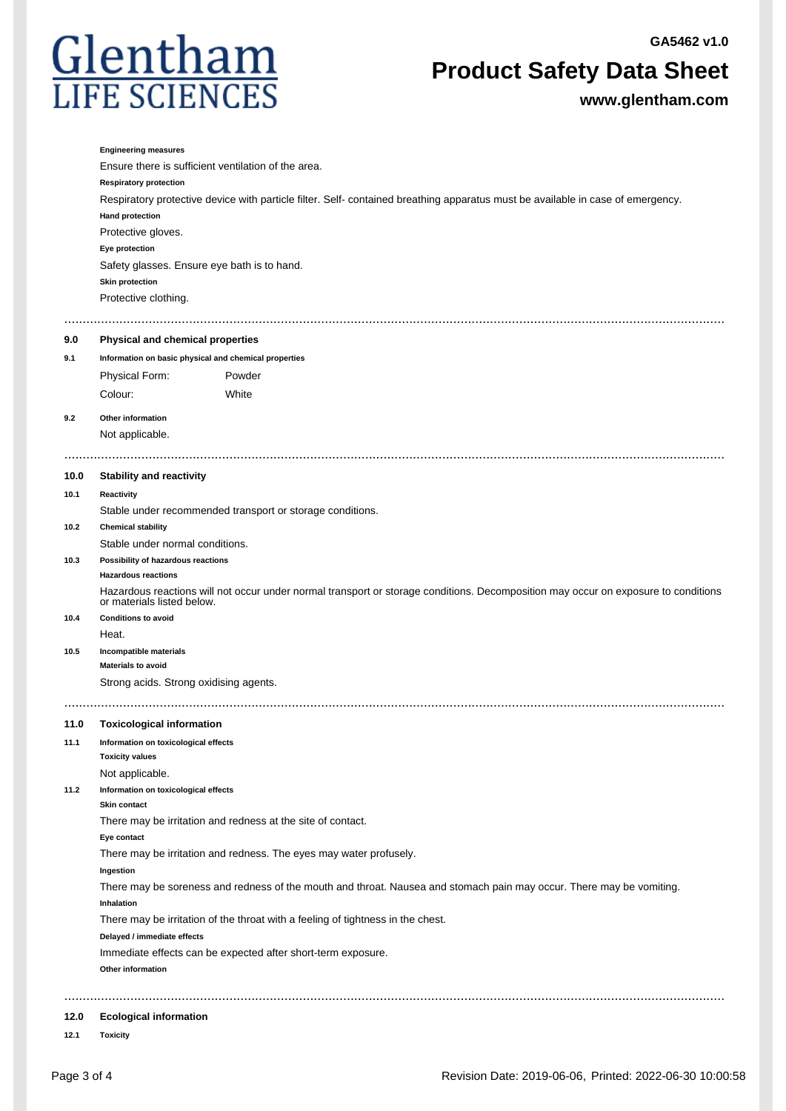

## **Product Safety Data Sheet**

**www.glentham.com**

|              | <b>Engineering measures</b>                                                                                                                                      |  |  |  |
|--------------|------------------------------------------------------------------------------------------------------------------------------------------------------------------|--|--|--|
|              | Ensure there is sufficient ventilation of the area.                                                                                                              |  |  |  |
|              | <b>Respiratory protection</b>                                                                                                                                    |  |  |  |
|              | Respiratory protective device with particle filter. Self- contained breathing apparatus must be available in case of emergency.                                  |  |  |  |
|              | <b>Hand protection</b>                                                                                                                                           |  |  |  |
|              | Protective gloves.                                                                                                                                               |  |  |  |
|              | Eye protection                                                                                                                                                   |  |  |  |
|              | Safety glasses. Ensure eye bath is to hand.<br>Skin protection                                                                                                   |  |  |  |
|              | Protective clothing.                                                                                                                                             |  |  |  |
|              | .                                                                                                                                                                |  |  |  |
| 9.0          | Physical and chemical properties                                                                                                                                 |  |  |  |
| 9.1          | Information on basic physical and chemical properties                                                                                                            |  |  |  |
|              | Physical Form:<br>Powder                                                                                                                                         |  |  |  |
|              | Colour:<br>White                                                                                                                                                 |  |  |  |
| 9.2          | Other information                                                                                                                                                |  |  |  |
|              | Not applicable.                                                                                                                                                  |  |  |  |
|              |                                                                                                                                                                  |  |  |  |
| 10.0         | <b>Stability and reactivity</b>                                                                                                                                  |  |  |  |
| 10.1         | Reactivity                                                                                                                                                       |  |  |  |
|              | Stable under recommended transport or storage conditions.                                                                                                        |  |  |  |
| 10.2         | <b>Chemical stability</b>                                                                                                                                        |  |  |  |
|              | Stable under normal conditions.                                                                                                                                  |  |  |  |
| 10.3         | Possibility of hazardous reactions                                                                                                                               |  |  |  |
|              | <b>Hazardous reactions</b>                                                                                                                                       |  |  |  |
|              | Hazardous reactions will not occur under normal transport or storage conditions. Decomposition may occur on exposure to conditions<br>or materials listed below. |  |  |  |
| 10.4         | <b>Conditions to avoid</b>                                                                                                                                       |  |  |  |
|              | Heat.                                                                                                                                                            |  |  |  |
| 10.5         | Incompatible materials                                                                                                                                           |  |  |  |
|              | <b>Materials to avoid</b>                                                                                                                                        |  |  |  |
|              | Strong acids. Strong oxidising agents.                                                                                                                           |  |  |  |
|              |                                                                                                                                                                  |  |  |  |
| 11.0<br>11.1 | <b>Toxicological information</b><br>Information on toxicological effects                                                                                         |  |  |  |
|              | <b>Toxicity values</b>                                                                                                                                           |  |  |  |
|              | Not applicable.                                                                                                                                                  |  |  |  |
| 11.2         | Information on toxicological effects                                                                                                                             |  |  |  |
|              | <b>Skin contact</b>                                                                                                                                              |  |  |  |
|              | There may be irritation and redness at the site of contact.                                                                                                      |  |  |  |
|              | Eye contact                                                                                                                                                      |  |  |  |
|              | There may be irritation and redness. The eyes may water profusely.                                                                                               |  |  |  |
|              | Ingestion                                                                                                                                                        |  |  |  |
|              | There may be soreness and redness of the mouth and throat. Nausea and stomach pain may occur. There may be vomiting.<br>Inhalation                               |  |  |  |
|              | There may be irritation of the throat with a feeling of tightness in the chest.                                                                                  |  |  |  |
|              | Delayed / immediate effects                                                                                                                                      |  |  |  |
|              | Immediate effects can be expected after short-term exposure.                                                                                                     |  |  |  |
|              | Other information                                                                                                                                                |  |  |  |
|              |                                                                                                                                                                  |  |  |  |
| 12.0         | <b>Ecological information</b>                                                                                                                                    |  |  |  |

**12.1 Toxicity**